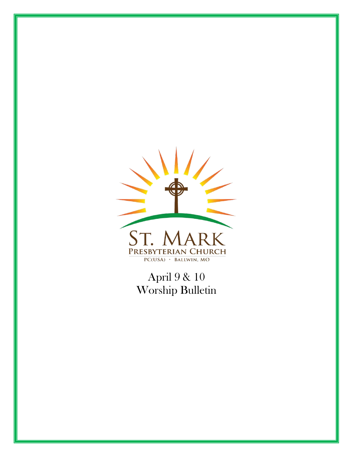

April 9 & 10 Worship Bulletin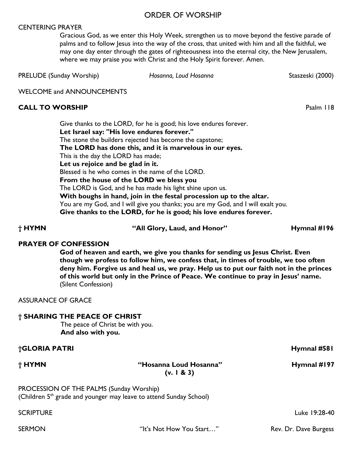### ORDER OF WORSHIP

#### CENTERING PRAYER

Gracious God, as we enter this Holy Week, strengthen us to move beyond the festive parade of palms and to follow Jesus into the way of the cross, that united with him and all the faithful, we may one day enter through the gates of righteousness into the eternal city, the New Jerusalem, where we may praise you with Christ and the Holy Spirit forever. Amen.

PRELUDE (Sunday Worship) *Hosanna, Loud Hosanna* Staszeski (2000)

WELCOME and ANNOUNCEMENTS

#### **CALL TO WORSHIP** Psalm 118

Give thanks to the LORD, for he is good; his love endures forever. **Let Israel say: "His love endures forever."** The stone the builders rejected has become the capstone; **The LORD has done this, and it is marvelous in our eyes.**  This is the day the LORD has made; **Let us rejoice and be glad in it.**  Blessed is he who comes in the name of the LORD. **From the house of the LORD we bless you**  The LORD is God, and he has made his light shine upon us. **With boughs in hand, join in the festal procession up to the altar.**  You are my God, and I will give you thanks; you are my God, and I will exalt you. **Give thanks to the LORD, for he is good; his love endures forever.**

**† HYMN "All Glory, Laud, and Honor" Hymnal #196**

### **PRAYER OF CONFESSION**

**God of heaven and earth, we give you thanks for sending us Jesus Christ. Even though we profess to follow him, we confess that, in times of trouble, we too often deny him. Forgive us and heal us, we pray. Help us to put our faith not in the princes of this world but only in the Prince of Peace. We continue to pray in Jesus' name.**  (Silent Confession)

ASSURANCE OF GRACE

#### **† SHARING THE PEACE OF CHRIST**

The peace of Christ be with you. **And also with you.**

**†GLORIA PATRI Hymnal #581**

**† HYMN "Hosanna Loud Hosanna" Hymnal #197 (v. 1 & 3)**

PROCESSION OF THE PALMS (Sunday Worship) (Children  $5<sup>th</sup>$  grade and younger may leave to attend Sunday School)

SCRIPTURE Luke 19:28-40

SERMON THE's Not How You Start..." Rev. Dr. Dave Burgess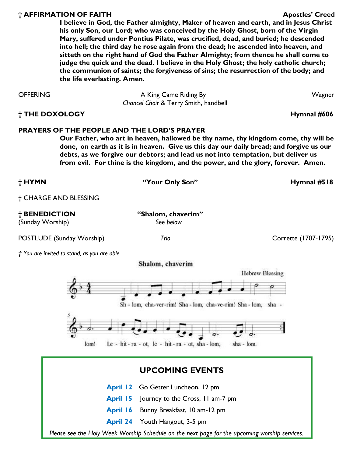#### **† AFFIRMATION OF FAITH Apostles' Creed**

**I believe in God, the Father almighty, Maker of heaven and earth, and in Jesus Christ his only Son, our Lord; who was conceived by the Holy Ghost, born of the Virgin Mary, suffered under Pontius Pilate, was crucified, dead, and buried; he descended into hell; the third day he rose again from the dead; he ascended into heaven, and sitteth on the right hand of God the Father Almighty; from thence he shall come to judge the quick and the dead. I believe in the Holy Ghost; the holy catholic church; the communion of saints; the forgiveness of sins; the resurrection of the body; and the life everlasting. Amen.** 

OFFERING **A King Came Riding By Wagner** Magner *Chancel Choir* & Terry Smith, handbell **† THE DOXOLOGY Hymnal #606**

### **PRAYERS OF THE PEOPLE AND THE LORD'S PRAYER**

**Our Father, who art in heaven, hallowed be thy name, thy kingdom come, thy will be done, on earth as it is in heaven. Give us this day our daily bread; and forgive us our debts, as we forgive our debtors; and lead us not into temptation, but deliver us from evil. For thine is the kingdom, and the power, and the glory, forever. Amen.** 

Sh - lom, cha-ver-rim! Sha - lom, cha-ve-rim! Sha - lom, sha -

† CHARGE AND BLESSING

*† You are invited to stand, as you are able* 

Shalom, chaverim



**† BENEDICTION "Shalom, chaverim"** 

(Sunday Worship) *See below*

POSTLUDE (Sunday Worship) *Trio* Corrette (1707-1795)

**† HYMN "Your Only Son" Hymnal #518**

**Hebrew Blessing**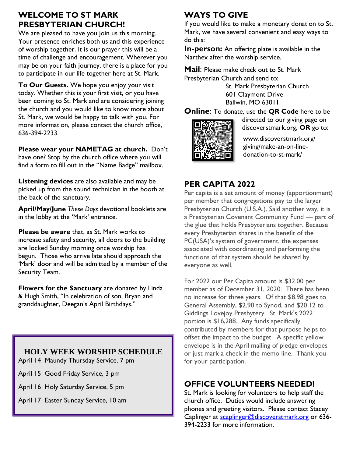# **WELCOME TO ST MARK PRESBYTERIAN CHURCH!**

We are pleased to have you join us this morning. Your presence enriches both us and this experience of worship together. It is our prayer this will be a time of challenge and encouragement. Wherever you may be on your faith journey, there is a place for you to participate in our life together here at St. Mark.

**To Our Guests.** We hope you enjoy your visit today. Whether this is your first visit, or you have been coming to St. Mark and are considering joining the church and you would like to know more about St. Mark, we would be happy to talk with you. For more information, please contact the church office, 636-394-2233.

**Please wear your NAMETAG at church.** Don't have one? Stop by the church office where you will find a form to fill out in the "Name Badge" mailbox.

**Listening devices** are also available and may be picked up from the sound technician in the booth at the back of the sanctuary.

**April/May/June** *These Days* devotional booklets are in the lobby at the 'Mark' entrance.

**Please be aware** that, as St. Mark works to increase safety and security, all doors to the building are locked Sunday morning once worship has begun. Those who arrive late should approach the 'Mark' door and will be admitted by a member of the Security Team.

**Flowers for the Sanctuary** are donated by Linda & Hugh Smith, "In celebration of son, Bryan and granddaughter, Deegan's April Birthdays."

# **HOLY WEEK WORSHIP SCHEDULE**

April 14 Maundy Thursday Service, 7 pm

April 15 Good Friday Service, 3 pm

April 16 Holy Saturday Service, 5 pm

April 17 Easter Sunday Service, 10 am

# **WAYS TO GIVE**

If you would like to make a monetary donation to St. Mark, we have several convenient and easy ways to do this:

**In-person:** An offering plate is available in the Narthex after the worship service.

**Mail**: Please make check out to St. Mark Presbyterian Church and send to:

> St. Mark Presbyterian Church 601 Claymont Drive Ballwin, MO 63011

**Online**: To donate, use the **QR Code** here to be



directed to our giving page on discoverstmark.org, **OR** go to:

www.discoverstmark.org/ giving/make-an-on-linedonation-to-st-mark/

# **PER CAPITA 2022**

Per capita is a set amount of money (apportionment) per member that congregations pay to the larger Presbyterian Church (U.S.A.). Said another way, it is a Presbyterian Covenant Community Fund — part of the glue that holds Presbyterians together. Because every Presbyterian shares in the benefit of the PC(USA)'s system of government, the expenses associated with coordinating and performing the functions of that system should be shared by everyone as well.

For 2022 our Per Capita amount is \$32.00 per member as of December 31, 2020. There has been no increase for three years. Of that \$8.98 goes to General Assembly, \$2.90 to Synod, and \$20.12 to Giddings Lovejoy Presbytery. St. Mark's 2022 portion is \$16,288. Any funds specifically contributed by members for that purpose helps to offset the impact to the budget. A specific yellow envelope is in the April mailing of pledge envelopes or just mark a check in the memo line. Thank you for your participation.

# **OFFICE VOLUNTEERS NEEDED!**

St. Mark is looking for volunteers to help staff the church office. Duties would include answering phones and greeting visitors. Please contact Stacey Caplinger at [scaplinger@discoverstmark.org](mailto:scaplinger@discoverstmark.org) or 636-394-2233 for more information.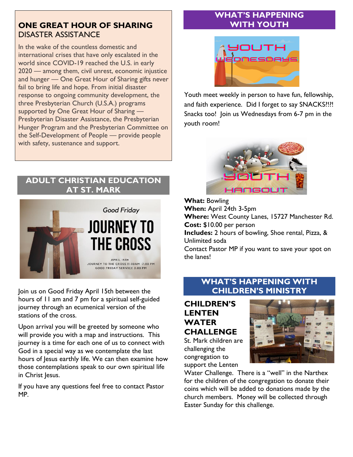## **ONE GREAT HOUR OF SHARING** DISASTER ASSISTANCE

In the wake of the countless domestic and international crises that have only escalated in the world since COVID-19 reached the U.S. in early 2020 — among them, civil unrest, economic injustice and hunger — One Great Hour of Sharing gifts never fail to bring life and hope. From initial disaster response to ongoing community development, the three Presbyterian Church (U.S.A.) programs supported by One Great Hour of Sharing — Presbyterian Disaster Assistance, the Presbyterian Hunger Program and the Presbyterian Committee on the Self-Development of People — provide people with safety, sustenance and support.

## **ADULT CHRISTIAN EDUCATION AT ST. MARK**



Join us on Good Friday April 15th between the hours of 11 am and 7 pm for a spiritual self-guided journey through an ecumenical version of the stations of the cross.

Upon arrival you will be greeted by someone who will provide you with a map and instructions. This journey is a time for each one of us to connect with God in a special way as we contemplate the last hours of Jesus earthly life. We can then examine how those contemplations speak to our own spiritual life in Christ Jesus.

If you have any questions feel free to contact Pastor MP.

## **WHAT'S HAPPENING WITH YOUTH**



Youth meet weekly in person to have fun, fellowship, and faith experience. Did I forget to say SNACKS?!?! Snacks too! Join us Wednesdays from 6-7 pm in the youth room!



**What:** Bowling **When:** April 24th 3-5pm **Where:** West County Lanes, 15727 Manchester Rd. **Cost:** \$10.00 per person **Includes:** 2 hours of bowling, Shoe rental, Pizza, & Unlimited soda Contact Pastor MP if you want to save your spot on the lanes!

## **WHAT'S HAPPENING WITH CHILDREN'S MINISTRY**

**CHILDREN'S LENTEN WATER CHALLENGE** St. Mark children are

challenging the congregation to support the Lenten



Water Challenge. There is a "well" in the Narthex for the children of the congregation to donate their coins which will be added to donations made by the church members. Money will be collected through Easter Sunday for this challenge.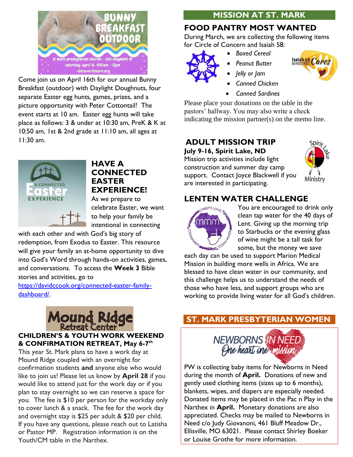

Come join us on April 16th for our annual Bunny Breakfast (outdoor) with Daylight Doughnuts, four separate Easter egg hunts, games, prizes, and a picture opportunity with Peter Cottontail! The event starts at 10 am. Easter egg hunts will take place as follows: 3 & under at 10:30 am, PreK & K at 10:50 am, 1st & 2nd grade at 11:10 am, all ages at 11:30 am.



## **HAVE A CONNECTED EASTER EXPERIENCE!**

As we prepare to celebrate Easter, we want to help your family be intentional in connecting

with each other and with God's big story of redemption, from Exodus to Easter. This resource will give your family an at-home opportunity to dive into God's Word through hands-on activities, games, and conversations.To access the **Week 3** Bible stories and activities, go to

[https://davidccook.org/connected-easter-family](https://davidccook.org/connected-easter-family-dashboard/)[dashboard/.](https://davidccook.org/connected-easter-family-dashboard/)



## **CHILDREN'S & YOUTH WORK WEEKEND & CONFIRMATION RETREAT, May 6-7 th**

This year St. Mark plans to have a work day at Mound Ridge coupled with an overnight for confirmation students **and** anyone else who would like to join us! Please let us know by **April 28** if you would like to attend just for the work day or if you plan to stay overnight so we can reserve a space for you. The fee is \$10 per person for the workday only to cover lunch & a snack. The fee for the work day and overnight stay is \$25 per adult & \$20 per child. If you have any questions, please reach out to Latisha or Pastor MP. Registration information is on the Youth/CM table in the Narthex.

## **MISSION AT ST. MARK**

# **FOOD PANTRY MOST WANTED**

During March, we are collecting the following items for Circle of Concern and Isaiah 58:

- *Boxed Cereal* 
	- *Peanut Butter*



• *Jelly or Jam* 



• *Canned Sardines*

Please place your donations on the table in the pastors' hallway. You may also write a check indicating the mission partner(s) on the memo line.

# **ADULT MISSION TRIP**

**July 9-16, Spirit Lake, ND** Mission trip activities include light construction and summer day camp support. Contact Joyce Blackwell if you are interested in participating.



# **LENTEN WATER CHALLENGE**



You are encouraged to drink only clean tap water for the 40 days of Lent. Giving up the morning trip to Starbucks or the evening glass of wine might be a tall task for some, but the money we save

each day can be used to support Marion Medical Mission in building more wells in Africa. We are blessed to have clean water in our community, and this challenge helps us to understand the needs of those who have less, and support groups who are working to provide living water for all God's children.

# **ST. MARK PRESBYTERIAN WOMEN**



PW is collecting baby items for Newborns in Need during the month of **April.** Donations of new and gently used clothing items (sizes up to 6 months), blankets, wipes, and diapers are especially needed. Donated items may be placed in the Pac n Play in the Narthex in **April.** Monetary donations are also appreciated. Checks may be mailed to Newborns in Need c/o Judy Giovanoni, 461 Bluff Meadow Dr., Ellisville, MO 63021. Please contact Shirley Boeker or Louise Grothe for more information.

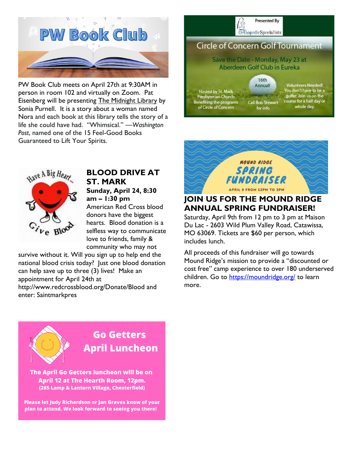

PW Book Club meets on April 27th at 9:30AM in person in room 102 and virtually on Zoom. Pat Eisenberg will be presenting The Midnight Library by Sonia Purnell. It is a story about a woman named Nora and each book at this library tells the story of a life she could have had. "Whimsical." *—Washington Post*, named one of the 15 Feel-Good Books Guaranteed to Lift Your Spirits.

![](_page_6_Picture_2.jpeg)

![](_page_6_Picture_3.jpeg)

## **JOIN US FOR THE MOUND RIDGE ANNUAL SPRING FUNDRAISER!**

Saturday, April 9th from 12 pm to 3 pm at Maison Du Lac - 2603 Wild Plum Valley Road, Catawissa, MO 63069. Tickets are \$60 per person, which includes lunch.

All proceeds of this fundraiser will go towards Mound Ridge's mission to provide a "discounted or cost free" camp experience to over 180 underserved children. Go to<https://moundridge.org/> to learn more.

![](_page_6_Picture_7.jpeg)

### **BLOOD DRIVE AT ST. MARK Sunday, April 24, 8:30**

**am – 1:30 pm**

American Red Cross blood donors have the biggest hearts. Blood donation is a selfless way to communicate love to friends, family & community who may not

survive without it. Will you sign up to help end the national blood crisis today? Just one blood donation can help save up to three (3) lives! Make an appointment for April 24th at http://www.redcrossblood.org/Donate/Blood and enter: Saintmarkpres

![](_page_6_Picture_12.jpeg)

# **Go Getters April Luncheon**

The April Go Getters luncheon will be on April 12 at The Hearth Room, 12pm. (265 Lamp & Lantern Village, Chesterfield)

Please let Judy Richardson or Jan Graves know of your plan to attend. We look forward to seeing you there!